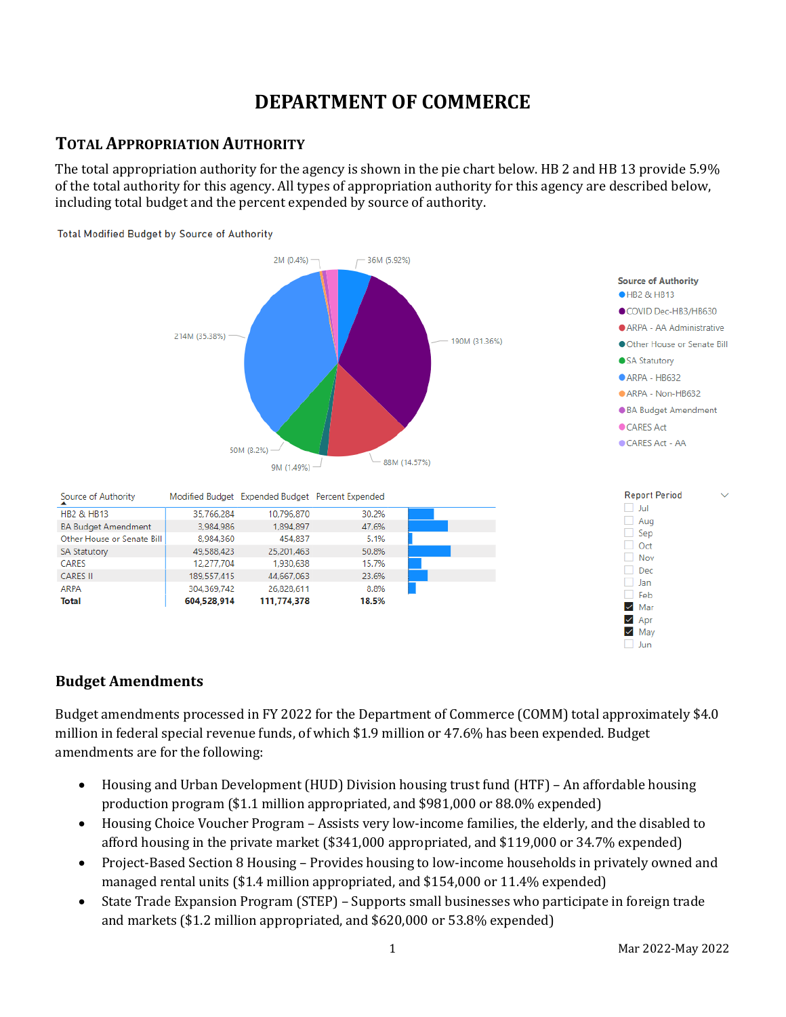# **DEPARTMENT OF COMMERCE**

## **TOTAL APPROPRIATION AUTHORITY**

The total appropriation authority for the agency is shown in the pie chart below. HB 2 and HB 13 provide 5.9% of the total authority for this agency. All types of appropriation authority for this agency are described below, including total budget and the percent expended by source of authority.



### **Budget Amendments**

Budget amendments processed in FY 2022 for the Department of Commerce (COMM) total approximately \$4.0 million in federal special revenue funds, of which \$1.9 million or 47.6% has been expended. Budget amendments are for the following:

- Housing and Urban Development (HUD) Division housing trust fund (HTF) An affordable housing production program (\$1.1 million appropriated, and \$981,000 or 88.0% expended)
- Housing Choice Voucher Program Assists very low-income families, the elderly, and the disabled to afford housing in the private market (\$341,000 appropriated, and \$119,000 or 34.7% expended)
- Project-Based Section 8 Housing Provides housing to low-income households in privately owned and managed rental units (\$1.4 million appropriated, and \$154,000 or 11.4% expended)
- State Trade Expansion Program (STEP) Supports small businesses who participate in foreign trade and markets (\$1.2 million appropriated, and \$620,000 or 53.8% expended)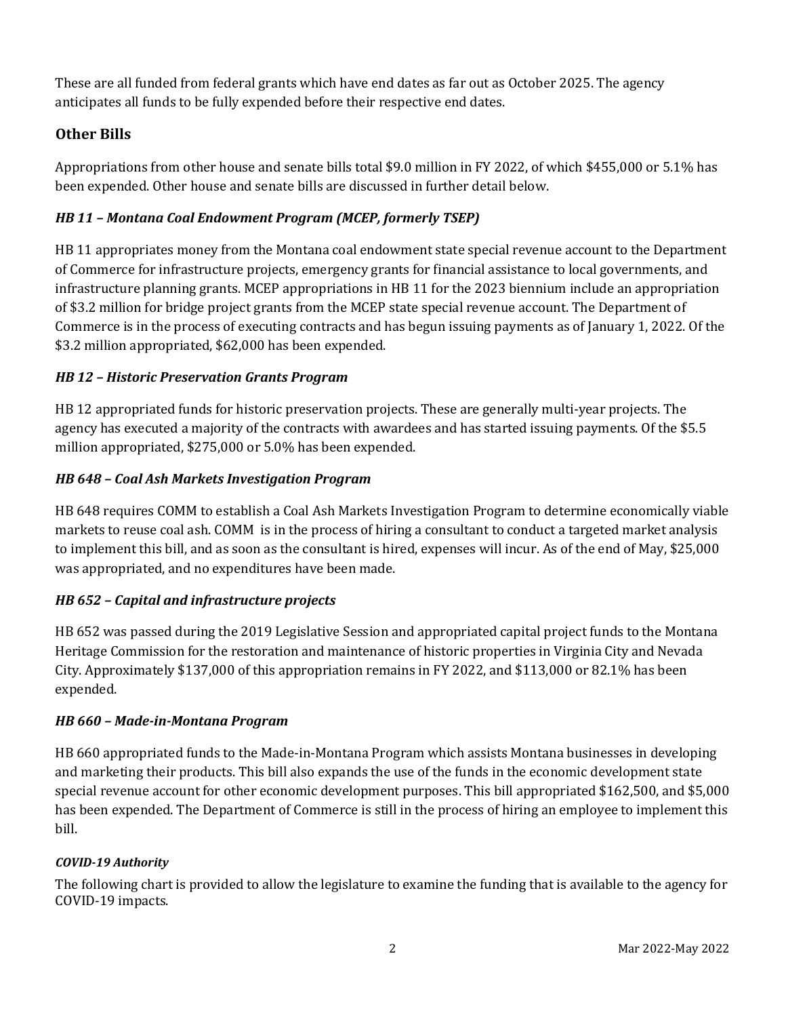These are all funded from federal grants which have end dates as far out as October 2025. The agency anticipates all funds to be fully expended before their respective end dates.

### **Other Bills**

Appropriations from other house and senate bills total \$9.0 million in FY 2022, of which \$455,000 or 5.1% has been expended. Other house and senate bills are discussed in further detail below.

### *HB 11 – Montana Coal Endowment Program (MCEP, formerly TSEP)*

HB 11 appropriates money from the Montana coal endowment state special revenue account to the Department of Commerce for infrastructure projects, emergency grants for financial assistance to local governments, and infrastructure planning grants. MCEP appropriations in HB 11 for the 2023 biennium include an appropriation of \$3.2 million for bridge project grants from the MCEP state special revenue account. The Department of Commerce is in the process of executing contracts and has begun issuing payments as of January 1, 2022. Of the \$3.2 million appropriated, \$62,000 has been expended.

### *HB 12 – Historic Preservation Grants Program*

HB 12 appropriated funds for historic preservation projects. These are generally multi-year projects. The agency has executed a majority of the contracts with awardees and has started issuing payments. Of the \$5.5 million appropriated, \$275,000 or 5.0% has been expended.

#### *HB 648 – Coal Ash Markets Investigation Program*

HB 648 requires COMM to establish a Coal Ash Markets Investigation Program to determine economically viable markets to reuse coal ash. COMM is in the process of hiring a consultant to conduct a targeted market analysis to implement this bill, and as soon as the consultant is hired, expenses will incur. As of the end of May, \$25,000 was appropriated, and no expenditures have been made.

### *HB 652 – Capital and infrastructure projects*

HB 652 was passed during the 2019 Legislative Session and appropriated capital project funds to the Montana Heritage Commission for the restoration and maintenance of historic properties in Virginia City and Nevada City. Approximately \$137,000 of this appropriation remains in FY 2022, and \$113,000 or 82.1% has been expended.

#### *HB 660 – Made-in-Montana Program*

HB 660 appropriated funds to the Made-in-Montana Program which assists Montana businesses in developing and marketing their products. This bill also expands the use of the funds in the economic development state special revenue account for other economic development purposes. This bill appropriated \$162,500, and \$5,000 has been expended. The Department of Commerce is still in the process of hiring an employee to implement this bill.

#### *COVID-19 Authority*

The following chart is provided to allow the legislature to examine the funding that is available to the agency for COVID-19 impacts.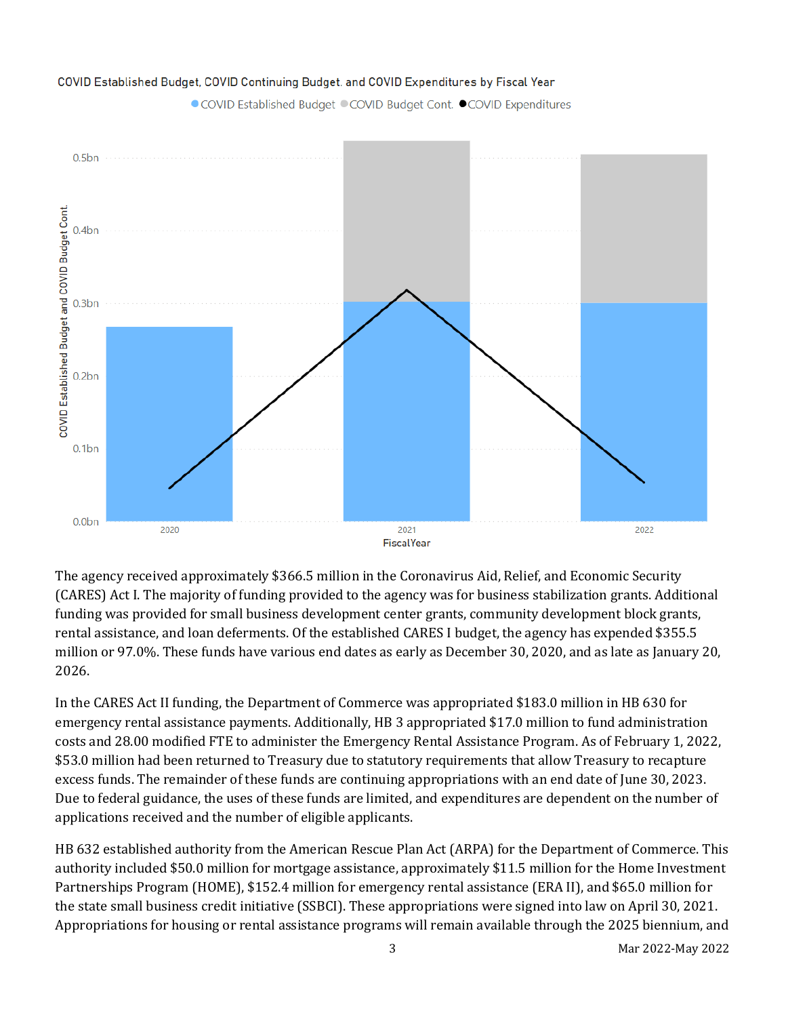

#### COVID Established Budget, COVID Continuing Budget, and COVID Expenditures by Fiscal Year

● COVID Established Budget ● COVID Budget Cont. ● COVID Expenditures

The agency received approximately \$366.5 million in the Coronavirus Aid, Relief, and Economic Security (CARES) Act I. The majority of funding provided to the agency was for business stabilization grants. Additional funding was provided for small business development center grants, community development block grants, rental assistance, and loan deferments. Of the established CARES I budget, the agency has expended \$355.5 million or 97.0%. These funds have various end dates as early as December 30, 2020, and as late as January 20, 2026.

In the CARES Act II funding, the Department of Commerce was appropriated \$183.0 million in HB 630 for emergency rental assistance payments. Additionally, HB 3 appropriated \$17.0 million to fund administration costs and 28.00 modified FTE to administer the Emergency Rental Assistance Program. As of February 1, 2022, \$53.0 million had been returned to Treasury due to statutory requirements that allow Treasury to recapture excess funds. The remainder of these funds are continuing appropriations with an end date of June 30, 2023. Due to federal guidance, the uses of these funds are limited, and expenditures are dependent on the number of applications received and the number of eligible applicants.

HB 632 established authority from the American Rescue Plan Act (ARPA) for the Department of Commerce. This authority included \$50.0 million for mortgage assistance, approximately \$11.5 million for the Home Investment Partnerships Program (HOME), \$152.4 million for emergency rental assistance (ERA II), and \$65.0 million for the state small business credit initiative (SSBCI). These appropriations were signed into law on April 30, 2021. Appropriations for housing or rental assistance programs will remain available through the 2025 biennium, and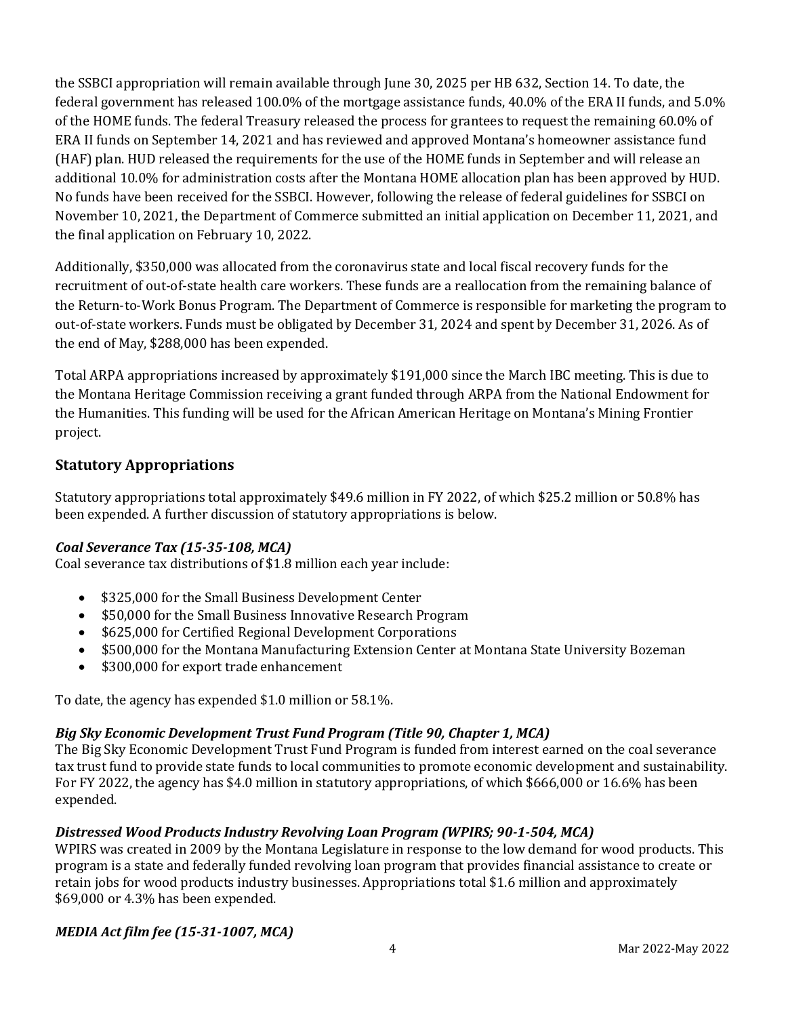the SSBCI appropriation will remain available through June 30, 2025 per HB 632, Section 14. To date, the federal government has released 100.0% of the mortgage assistance funds, 40.0% of the ERA II funds, and 5.0% of the HOME funds. The federal Treasury released the process for grantees to request the remaining 60.0% of ERA II funds on September 14, 2021 and has reviewed and approved Montana's homeowner assistance fund (HAF) plan. HUD released the requirements for the use of the HOME funds in September and will release an additional 10.0% for administration costs after the Montana HOME allocation plan has been approved by HUD. No funds have been received for the SSBCI. However, following the release of federal guidelines for SSBCI on November 10, 2021, the Department of Commerce submitted an initial application on December 11, 2021, and the final application on February 10, 2022.

Additionally, \$350,000 was allocated from the coronavirus state and local fiscal recovery funds for the recruitment of out-of-state health care workers. These funds are a reallocation from the remaining balance of the Return-to-Work Bonus Program. The Department of Commerce is responsible for marketing the program to out-of-state workers. Funds must be obligated by December 31, 2024 and spent by December 31, 2026. As of the end of May, \$288,000 has been expended.

Total ARPA appropriations increased by approximately \$191,000 since the March IBC meeting. This is due to the Montana Heritage Commission receiving a grant funded through ARPA from the National Endowment for the Humanities. This funding will be used for the African American Heritage on Montana's Mining Frontier project.

### **Statutory Appropriations**

Statutory appropriations total approximately \$49.6 million in FY 2022, of which \$25.2 million or 50.8% has been expended. A further discussion of statutory appropriations is below.

### *Coal Severance Tax (15-35-108, MCA)*

Coal severance tax distributions of \$1.8 million each year include:

- \$325,000 for the Small Business Development Center
- \$50,000 for the Small Business Innovative Research Program
- \$625,000 for Certified Regional Development Corporations
- \$500,000 for the Montana Manufacturing Extension Center at Montana State University Bozeman
- \$300,000 for export trade enhancement

To date, the agency has expended \$1.0 million or 58.1%.

#### *Big Sky Economic Development Trust Fund Program (Title 90, Chapter 1, MCA)*

The Big Sky Economic Development Trust Fund Program is funded from interest earned on the coal severance tax trust fund to provide state funds to local communities to promote economic development and sustainability. For FY 2022, the agency has \$4.0 million in statutory appropriations, of which \$666,000 or 16.6% has been expended.

#### *Distressed Wood Products Industry Revolving Loan Program (WPIRS; 90-1-504, MCA)*

WPIRS was created in 2009 by the Montana Legislature in response to the low demand for wood products. This program is a state and federally funded revolving loan program that provides financial assistance to create or retain jobs for wood products industry businesses. Appropriations total \$1.6 million and approximately \$69,000 or 4.3% has been expended.

### *MEDIA Act film fee (15-31-1007, MCA)*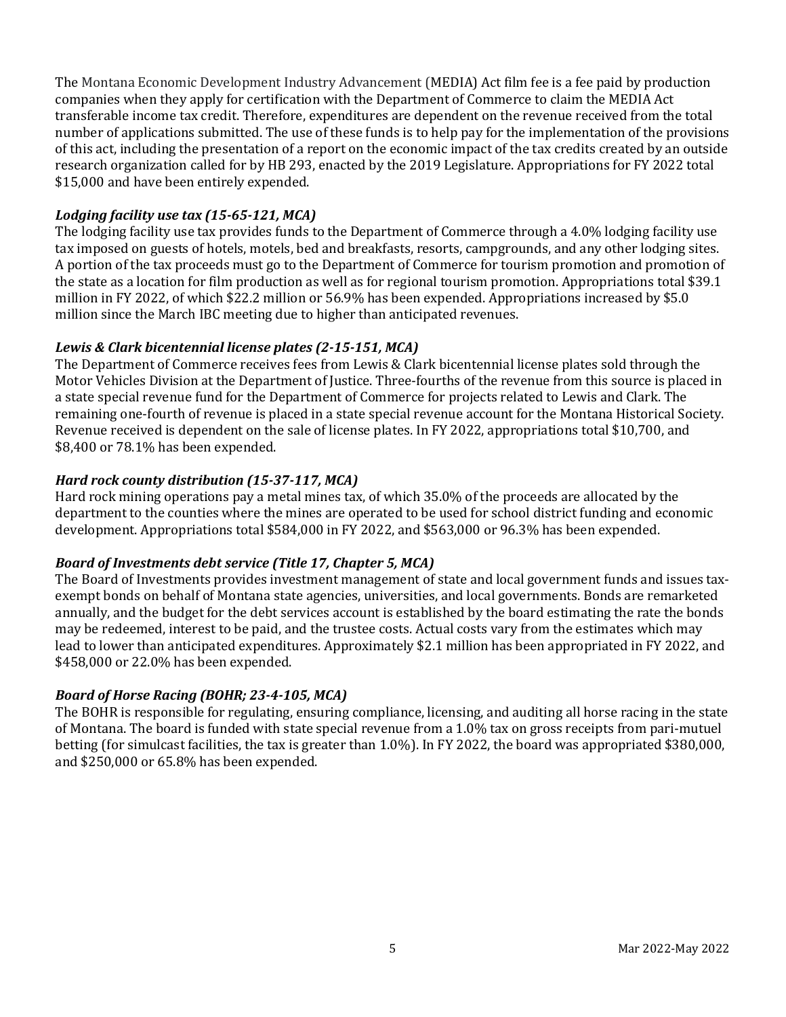The Montana Economic Development Industry Advancement (MEDIA) Act film fee is a fee paid by production companies when they apply for certification with the Department of Commerce to claim the MEDIA Act transferable income tax credit. Therefore, expenditures are dependent on the revenue received from the total number of applications submitted. The use of these funds is to help pay for the implementation of the provisions of this act, including the presentation of a report on the economic impact of the tax credits created by an outside research organization called for by HB 293, enacted by the 2019 Legislature. Appropriations for FY 2022 total \$15,000 and have been entirely expended.

#### *Lodging facility use tax (15-65-121, MCA)*

The lodging facility use tax provides funds to the Department of Commerce through a 4.0% lodging facility use tax imposed on guests of hotels, motels, bed and breakfasts, resorts, campgrounds, and any other lodging sites. A portion of the tax proceeds must go to the Department of Commerce for tourism promotion and promotion of the state as a location for film production as well as for regional tourism promotion. Appropriations total \$39.1 million in FY 2022, of which \$22.2 million or 56.9% has been expended. Appropriations increased by \$5.0 million since the March IBC meeting due to higher than anticipated revenues.

#### *Lewis & Clark bicentennial license plates (2-15-151, MCA)*

The Department of Commerce receives fees from Lewis & Clark bicentennial license plates sold through the Motor Vehicles Division at the Department of Justice. Three-fourths of the revenue from this source is placed in a state special revenue fund for the Department of Commerce for projects related to Lewis and Clark. The remaining one-fourth of revenue is placed in a state special revenue account for the Montana Historical Society. Revenue received is dependent on the sale of license plates. In FY 2022, appropriations total \$10,700, and \$8,400 or 78.1% has been expended.

#### *Hard rock county distribution (15-37-117, MCA)*

Hard rock mining operations pay a metal mines tax, of which 35.0% of the proceeds are allocated by the department to the counties where the mines are operated to be used for school district funding and economic development. Appropriations total \$584,000 in FY 2022, and \$563,000 or 96.3% has been expended.

#### *Board of Investments debt service (Title 17, Chapter 5, MCA)*

The Board of Investments provides investment management of state and local government funds and issues taxexempt bonds on behalf of Montana state agencies, universities, and local governments. Bonds are remarketed annually, and the budget for the debt services account is established by the board estimating the rate the bonds may be redeemed, interest to be paid, and the trustee costs. Actual costs vary from the estimates which may lead to lower than anticipated expenditures. Approximately \$2.1 million has been appropriated in FY 2022, and \$458,000 or 22.0% has been expended.

#### *Board of Horse Racing (BOHR; 23-4-105, MCA)*

The BOHR is responsible for regulating, ensuring compliance, licensing, and auditing all horse racing in the state of Montana. The board is funded with state special revenue from a 1.0% tax on gross receipts from pari-mutuel betting (for simulcast facilities, the tax is greater than 1.0%). In FY 2022, the board was appropriated \$380,000, and \$250,000 or 65.8% has been expended.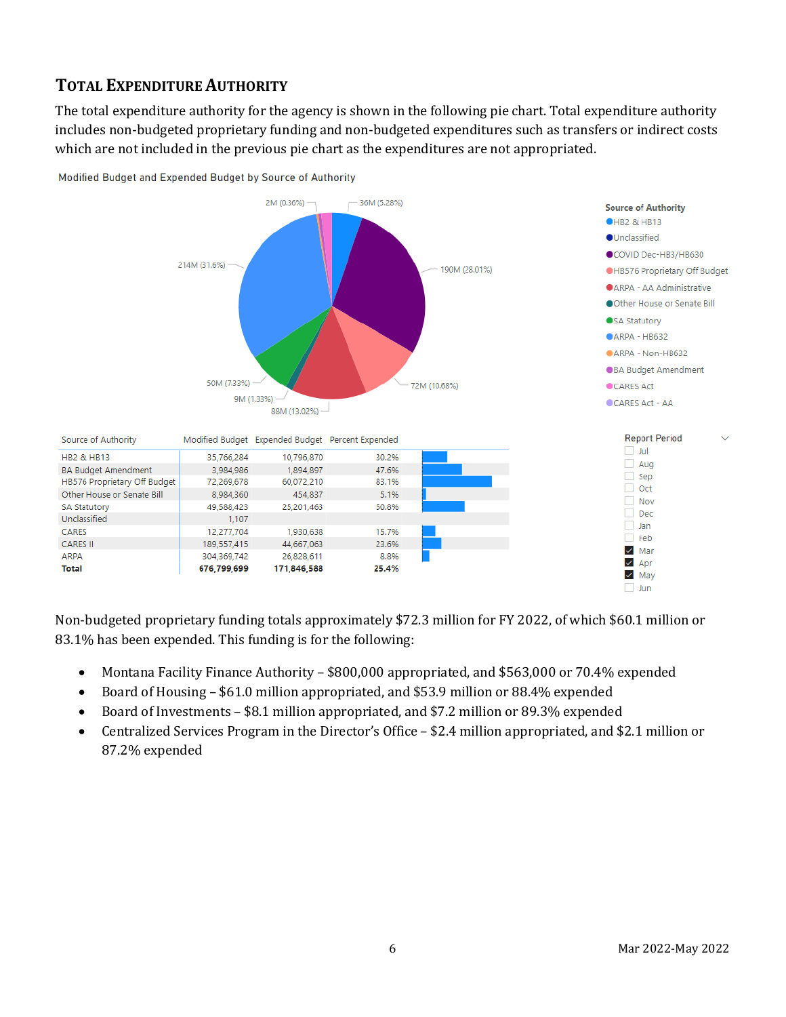# **TOTAL EXPENDITURE AUTHORITY**

The total expenditure authority for the agency is shown in the following pie chart. Total expenditure authority includes non-budgeted proprietary funding and non-budgeted expenditures such as transfers or indirect costs which are not included in the previous pie chart as the expenditures are not appropriated.



Modified Budget and Expended Budget by Source of Authority

Non-budgeted proprietary funding totals approximately \$72.3 million for FY 2022, of which \$60.1 million or 83.1% has been expended. This funding is for the following:

- Montana Facility Finance Authority \$800,000 appropriated, and \$563,000 or 70.4% expended
- Board of Housing \$61.0 million appropriated, and \$53.9 million or 88.4% expended
- Board of Investments \$8.1 million appropriated, and \$7.2 million or 89.3% expended
- Centralized Services Program in the Director's Office \$2.4 million appropriated, and \$2.1 million or 87.2% expended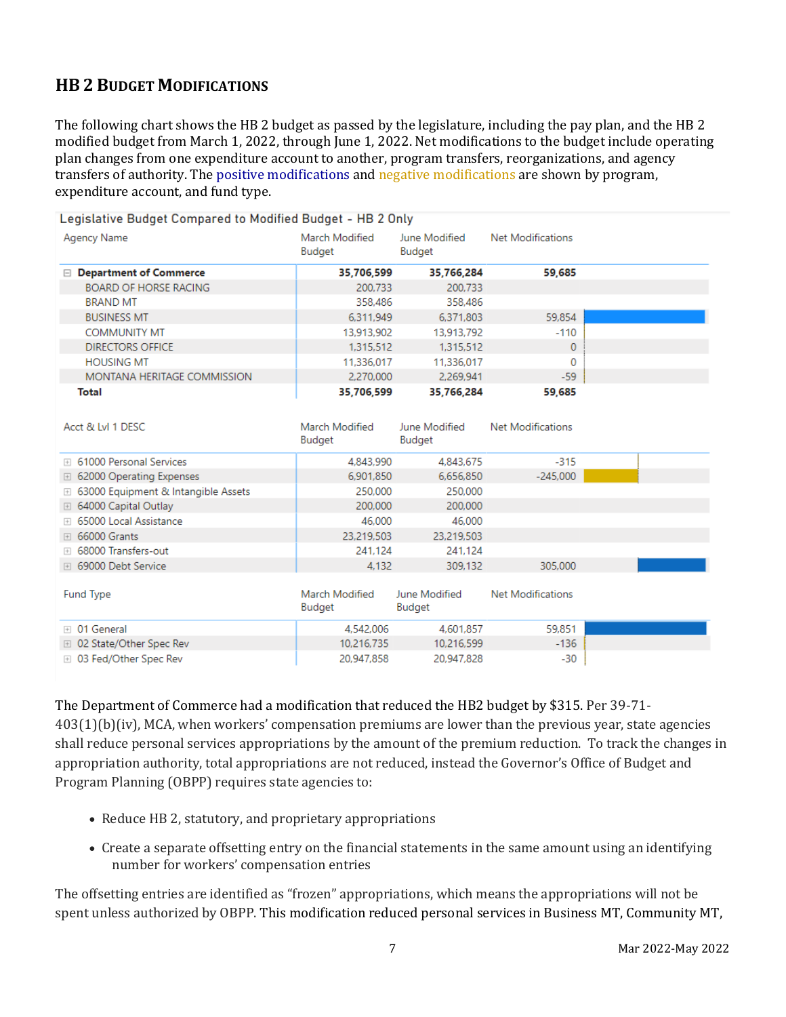# **HB 2 BUDGET MODIFICATIONS**

The following chart shows the HB 2 budget as passed by the legislature, including the pay plan, and the HB 2 modified budget from March 1, 2022, through June 1, 2022. Net modifications to the budget include operating plan changes from one expenditure account to another, program transfers, reorganizations, and agency transfers of authority. The positive modifications and negative modifications are shown by program, expenditure account, and fund type.

| Legislative Budget Compared to Modified Budget - HB 2 Only |                          |                         |                          |  |
|------------------------------------------------------------|--------------------------|-------------------------|--------------------------|--|
| Agency Name                                                | March Modified<br>Budget | June Modified<br>Budget | <b>Net Modifications</b> |  |
| □ Department of Commerce                                   | 35,706,599               | 35,766,284              | 59,685                   |  |
| <b>BOARD OF HORSE RACING</b>                               | 200.733                  | 200.733                 |                          |  |
| <b>BRAND MT</b>                                            | 358,486                  | 358,486                 |                          |  |
| <b>BUSINESS MT</b>                                         | 6,311,949                | 6,371,803               | 59.854                   |  |
| <b>COMMUNITY MT</b>                                        | 13.913.902               | 13.913.792              | $-110$                   |  |
| <b>DIRECTORS OFFICE</b>                                    | 1,315,512                | 1.315.512               | $\mathbf{0}$             |  |
| <b>HOUSING MT</b>                                          | 11,336,017               | 11,336,017              | 0                        |  |
| MONTANA HERITAGE COMMISSION                                | 2,270,000                | 2,269,941               | $-59$                    |  |
| Total                                                      | 35,706,599               | 35,766,284              | 59,685                   |  |
| Acct & Lvl 1 DESC                                          | March Modified<br>Budget | June Modified<br>Budget | Net Modifications        |  |
| <b>EL 61000 Personal Services</b>                          | 4.843.990                | 4.843.675               | $-315$                   |  |
| <b>E</b> 62000 Operating Expenses                          | 6.901.850                | 6,656,850               | $-245,000$               |  |
| 63000 Equipment & Intangible Assets                        | 250,000                  | 250,000                 |                          |  |
| □ 64000 Capital Outlay                                     | 200.000                  | 200,000                 |                          |  |
| ⊞ 65000 Local Assistance                                   | 46,000                   | 46.000                  |                          |  |
| $\boxplus$ 66000 Grants                                    | 23,219,503               | 23,219,503              |                          |  |
| ⊞ 68000 Transfers-out                                      | 241.124                  | 241.124                 |                          |  |
| ⊞ 69000 Debt Service                                       | 4.132                    | 309,132                 | 305,000                  |  |
| <b>Fund Type</b>                                           | March Modified<br>Budget | June Modified<br>Budget | <b>Net Modifications</b> |  |
| ⊞ 01 General                                               | 4.542.006                | 4,601,857               | 59.851                   |  |
| □ 02 State/Other Spec Rev                                  | 10.216.735               | 10,216,599              | $-136$                   |  |
| 03 Fed/Other Spec Rev                                      | 20,947,858               | 20,947,828              | $-30$                    |  |

□ 03 Fed/Other Spec Rev

The Department of Commerce had a modification that reduced the HB2 budget by \$315. Per 39-71- 403(1)(b)(iv), MCA, when workers' compensation premiums are lower than the previous year, state agencies shall reduce personal services appropriations by the amount of the premium reduction. To track the changes in appropriation authority, total appropriations are not reduced, instead the Governor's Office of Budget and Program Planning (OBPP) requires state agencies to:

- Reduce HB 2, statutory, and proprietary appropriations
- Create a separate offsetting entry on the financial statements in the same amount using an identifying number for workers' compensation entries

The offsetting entries are identified as "frozen" appropriations, which means the appropriations will not be spent unless authorized by OBPP. This modification reduced personal services in Business MT, Community MT,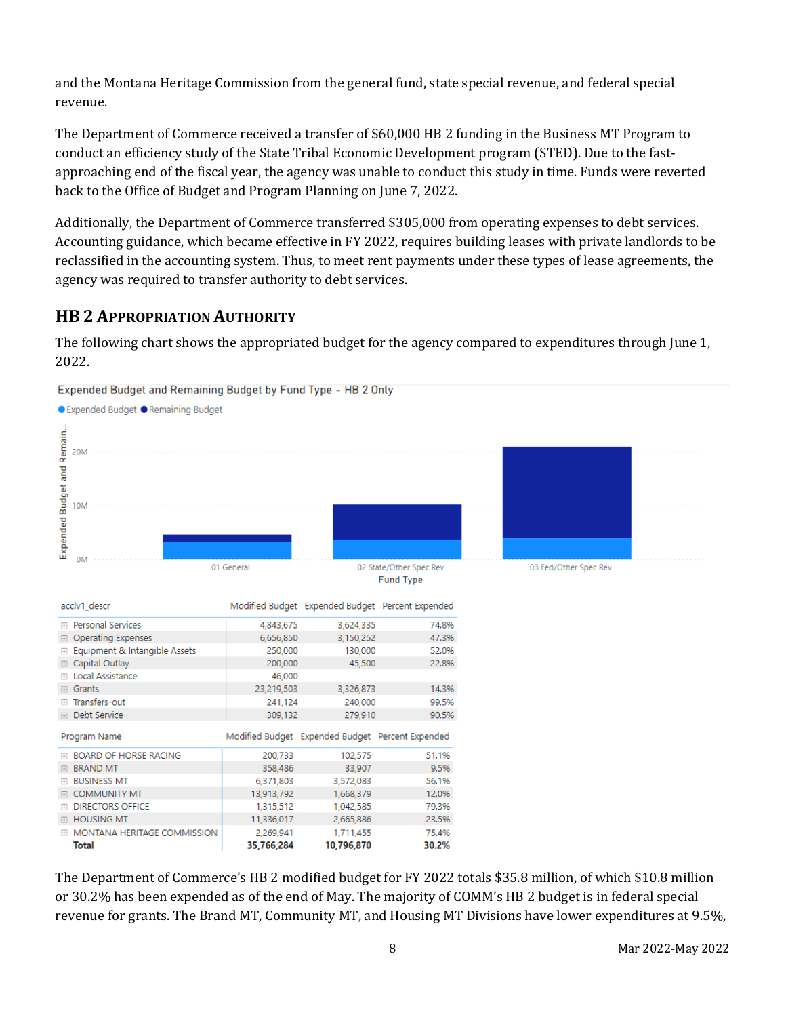and the Montana Heritage Commission from the general fund, state special revenue, and federal special revenue.

The Department of Commerce received a transfer of \$60,000 HB 2 funding in the Business MT Program to conduct an efficiency study of the State Tribal Economic Development program (STED). Due to the fastapproaching end of the fiscal year, the agency was unable to conduct this study in time. Funds were reverted back to the Office of Budget and Program Planning on June 7, 2022.

Additionally, the Department of Commerce transferred \$305,000 from operating expenses to debt services. Accounting guidance, which became effective in FY 2022, requires building leases with private landlords to be reclassified in the accounting system. Thus, to meet rent payments under these types of lease agreements, the agency was required to transfer authority to debt services.

# **HB 2 APPROPRIATION AUTHORITY**

The following chart shows the appropriated budget for the agency compared to expenditures through June 1, 2022.



The Department of Commerce's HB 2 modified budget for FY 2022 totals \$35.8 million, of which \$10.8 million or 30.2% has been expended as of the end of May. The majority of COMM's HB 2 budget is in federal special revenue for grants. The Brand MT, Community MT, and Housing MT Divisions have lower expenditures at 9.5%,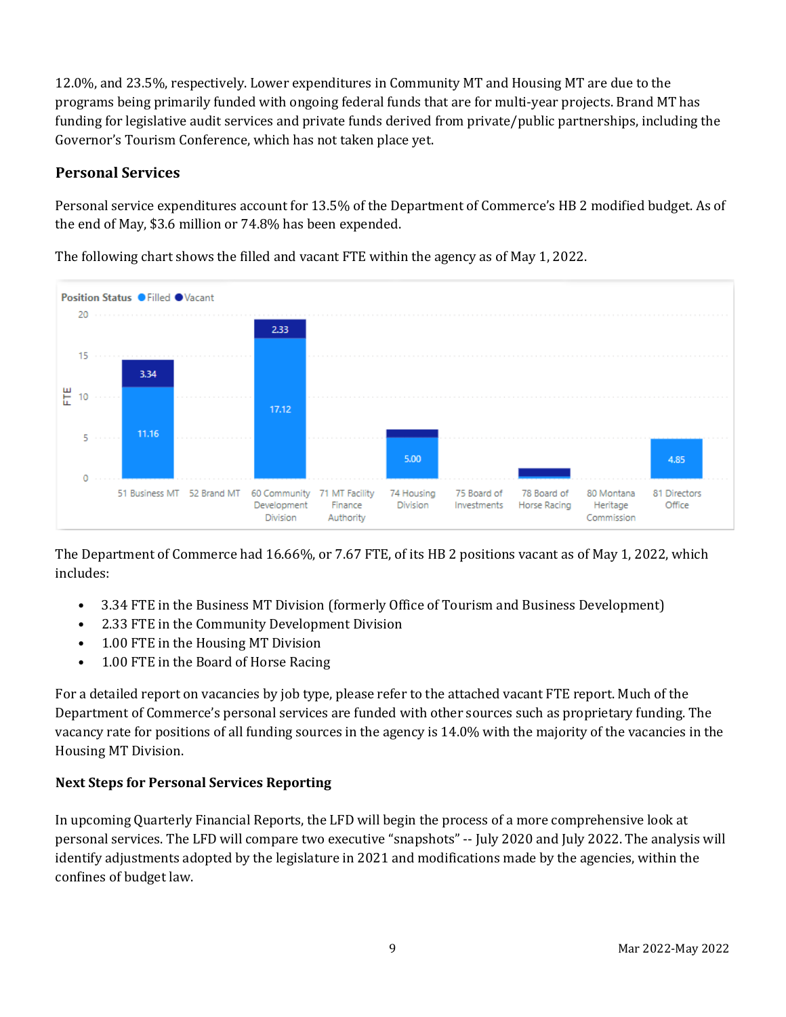12.0%, and 23.5%, respectively. Lower expenditures in Community MT and Housing MT are due to the programs being primarily funded with ongoing federal funds that are for multi-year projects. Brand MT has funding for legislative audit services and private funds derived from private/public partnerships, including the Governor's Tourism Conference, which has not taken place yet.

### **Personal Services**

Personal service expenditures account for 13.5% of the Department of Commerce's HB 2 modified budget. As of the end of May, \$3.6 million or 74.8% has been expended.



The following chart shows the filled and vacant FTE within the agency as of May 1, 2022.

The Department of Commerce had 16.66%, or 7.67 FTE, of its HB 2 positions vacant as of May 1, 2022, which includes:

- 3.34 FTE in the Business MT Division (formerly Office of Tourism and Business Development)
- 2.33 FTE in the Community Development Division
- 1.00 FTE in the Housing MT Division
- 1.00 FTE in the Board of Horse Racing

For a detailed report on vacancies by job type, please refer to the attached vacant FTE report. Much of the Department of Commerce's personal services are funded with other sources such as proprietary funding. The vacancy rate for positions of all funding sources in the agency is 14.0% with the majority of the vacancies in the Housing MT Division.

### **Next Steps for Personal Services Reporting**

In upcoming Quarterly Financial Reports, the LFD will begin the process of a more comprehensive look at personal services. The LFD will compare two executive "snapshots" -- July 2020 and July 2022. The analysis will identify adjustments adopted by the legislature in 2021 and modifications made by the agencies, within the confines of budget law.